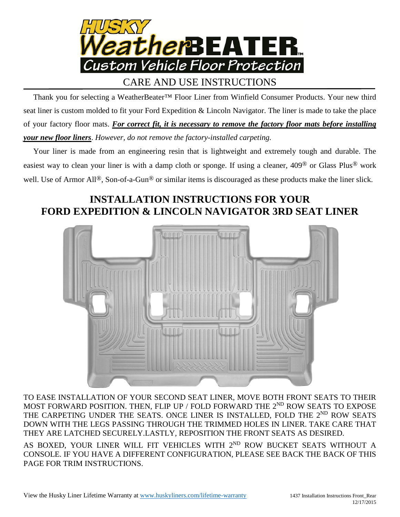

## CARE AND USE INSTRUCTIONS

 Thank you for selecting a WeatherBeater™ Floor Liner from Winfield Consumer Products. Your new third seat liner is custom molded to fit your Ford Expedition & Lincoln Navigator. The liner is made to take the place of your factory floor mats. *For correct fit, it is necessary to remove the factory floor mats before installing your new floor liners*. *However, do not remove the factory-installed carpeting.*

 Your liner is made from an engineering resin that is lightweight and extremely tough and durable. The easiest way to clean your liner is with a damp cloth or sponge. If using a cleaner, 409® or Glass Plus® work well. Use of Armor All<sup>®</sup>, Son-of-a-Gun<sup>®</sup> or similar items is discouraged as these products make the liner slick.

## **INSTALLATION INSTRUCTIONS FOR YOUR FORD EXPEDITION & LINCOLN NAVIGATOR 3RD SEAT LINER**



TO EASE INSTALLATION OF YOUR SECOND SEAT LINER, MOVE BOTH FRONT SEATS TO THEIR MOST FORWARD POSITION. THEN, FLIP UP / FOLD FORWARD THE  $2^{\rm ND}$  ROW SEATS TO EXPOSE THE CARPETING UNDER THE SEATS. ONCE LINER IS INSTALLED, FOLD THE 2<sup>ND</sup> ROW SEATS DOWN WITH THE LEGS PASSING THROUGH THE TRIMMED HOLES IN LINER. TAKE CARE THAT THEY ARE LATCHED SECURELY.LASTLY, REPOSITION THE FRONT SEATS AS DESIRED.

AS BOXED, YOUR LINER WILL FIT VEHICLES WITH 2<sup>ND</sup> ROW BUCKET SEATS WITHOUT A CONSOLE. IF YOU HAVE A DIFFERENT CONFIGURATION, PLEASE SEE BACK THE BACK OF THIS PAGE FOR TRIM INSTRUCTIONS.